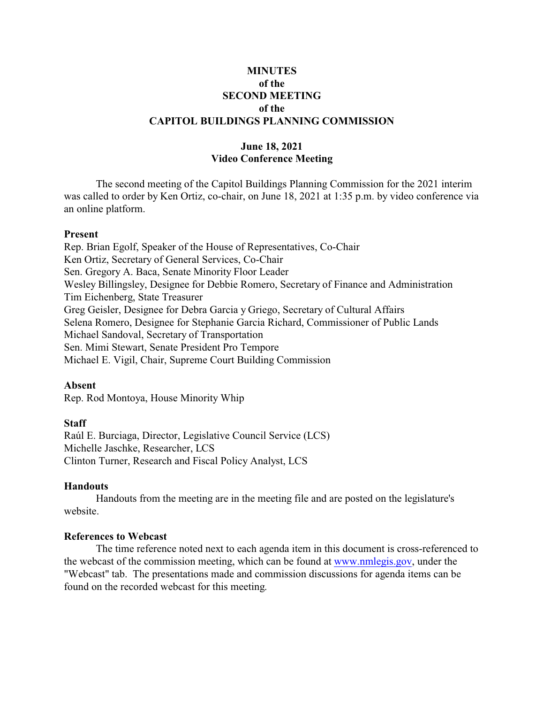## **MINUTES of the SECOND MEETING of the CAPITOL BUILDINGS PLANNING COMMISSION**

# **June 18, 2021 Video Conference Meeting**

The second meeting of the Capitol Buildings Planning Commission for the 2021 interim was called to order by Ken Ortiz, co-chair, on June 18, 2021 at 1:35 p.m. by video conference via an online platform.

### **Present**

Rep. Brian Egolf, Speaker of the House of Representatives, Co-Chair Ken Ortiz, Secretary of General Services, Co-Chair Sen. Gregory A. Baca, Senate Minority Floor Leader Wesley Billingsley, Designee for Debbie Romero, Secretary of Finance and Administration Tim Eichenberg, State Treasurer Greg Geisler, Designee for Debra Garcia y Griego, Secretary of Cultural Affairs Selena Romero, Designee for Stephanie Garcia Richard, Commissioner of Public Lands Michael Sandoval, Secretary of Transportation Sen. Mimi Stewart, Senate President Pro Tempore Michael E. Vigil, Chair, Supreme Court Building Commission

### **Absent**

Rep. Rod Montoya, House Minority Whip

### **Staff**

Raúl E. Burciaga, Director, Legislative Council Service (LCS) Michelle Jaschke, Researcher, LCS Clinton Turner, Research and Fiscal Policy Analyst, LCS

### **Handouts**

Handouts from the meeting are in the meeting file and are posted on the legislature's website.

### **References to Webcast**

The time reference noted next to each agenda item in this document is cross-referenced to the webcast of the commission meeting, which can be found at [www.nmlegis.gov](http://www.nmlegis.gov), under the "Webcast" tab. The presentations made and commission discussions for agenda items can be found on the recorded webcast for this meeting.